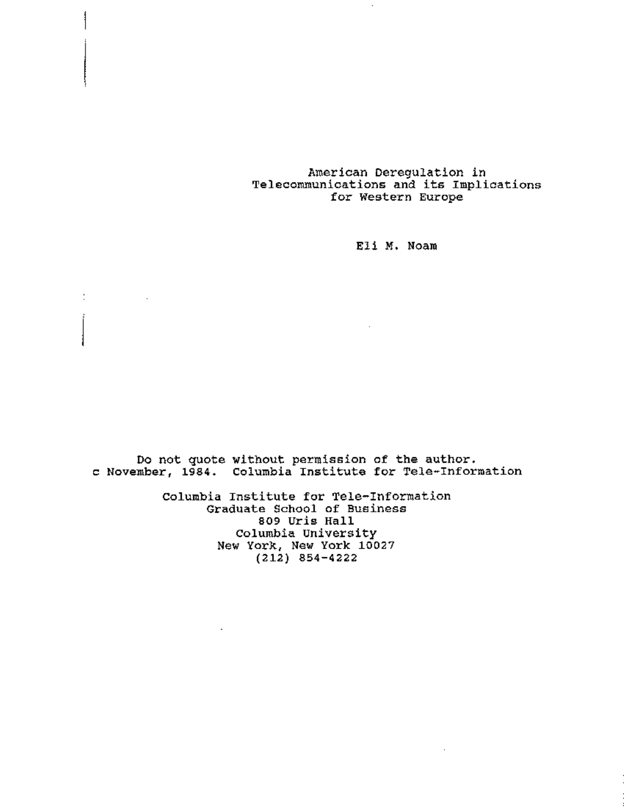## American Deregulation in Telecommunications and its Implicatio for Western Europe

Eli M, Noam

Do not quote without permission of the author. c November, 1984. Columbia Institute for Tele-Informat

 $\mathbb{C}^{\times}$ 

 $\sim$   $\sim$ 

Columbia Institute for Tele-Information Graduate School of Business 809 Uris Hall Columbia university New York, New York 10027 (212) 854-4222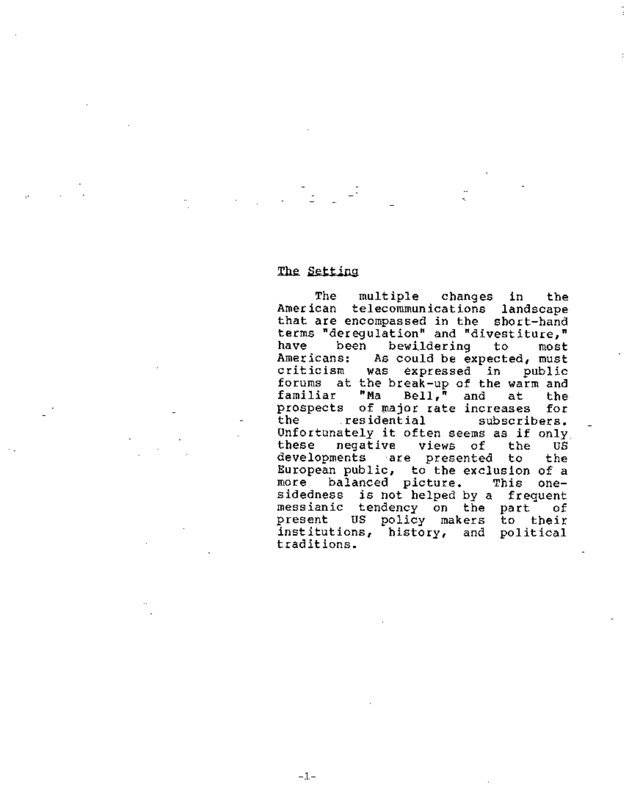# The Setting

 $-1-$ 

The multiple changes in the American telecommunications landscape that are encompassed in the short-ha terms "deregulation" and "divestitu have been bewildering to most<br>Americans: As-could-be-expected,-must Americans: As could be expected, must<br>criticism was expressed in public was expressed in public forums at the break-up of the warm and<br>familiar "Ma Bell." and at the familiar "Ma Bell," and at the prospects of major rate increases for<br>the seridential subscribers. residential subscribers. Unfortunately it often seems as if only<br>these megative views of the US these negative views of the US developments are presented to the European public, to the exclusion of a more balanced picture. This onesidedness is not helped by a frequen messianic tendency on the part of present US policy makers to their institutions, history, and political traditions.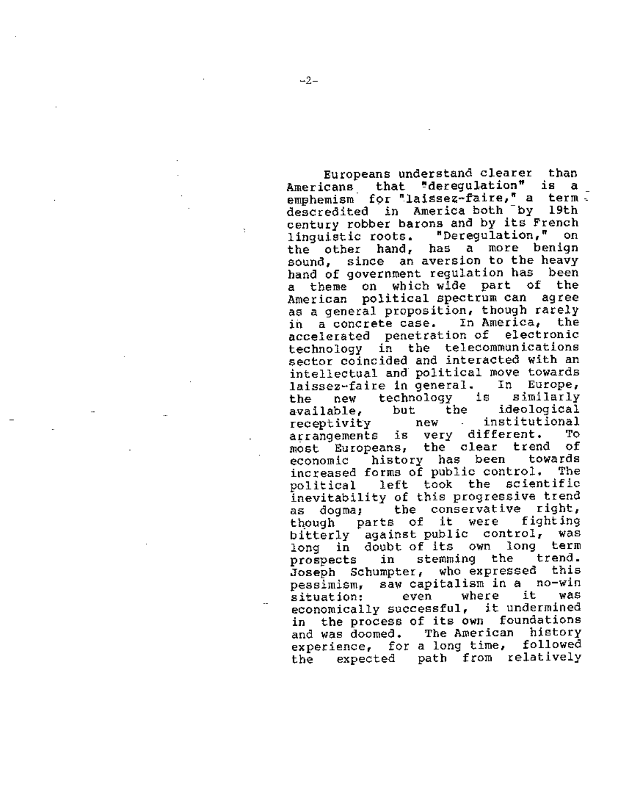Europeans understand clearer than<br>cans that "deregulation" is a Americans that "deregulation" is a \_<br>emphemism for laissez-faire," a term. emphemism for "laissez-faire," a term<br>descredited in America both by 19th century robber barons and by its French linguistic roots. "Deregulation," on the other hand, has a more benign sound, since an aversion to the heavy hand of government regulation has been a theme on which wide part of the American political spectrum can agree as a general proposition, though rarely<br>in a concrete case. In America, the in a concrete case. In America, accelerated penetration of electronic technology in the telecommunications sector coincided and interacted with an intellectual and political move towards laissez-faire in general. In Europe,<br>the new technology is similarly the new technology is similarly<br>available, but the ideological available, but the ideological receptivity new arrangements is very different. To<br>most Europeans, the clear trend of most Europeans, the clear trend of<br>economic history has been towards economic history has been increased forms of public control. The political left took the scientific inevitability of this progressive trend as dogma; the conservative right, though parts of it were fighting bitterly against public control, was long in doubt-of-its own long term<br>prospects in stemming the trend. prospects in stemming the Joseph Schumpter, who expressed this pessimism, saw capitalism in a no-win situation: even where it was economically successful, it undermine in the process of its own foundations and was doomed. The American history experience, for a long time, followed the expected path from relatively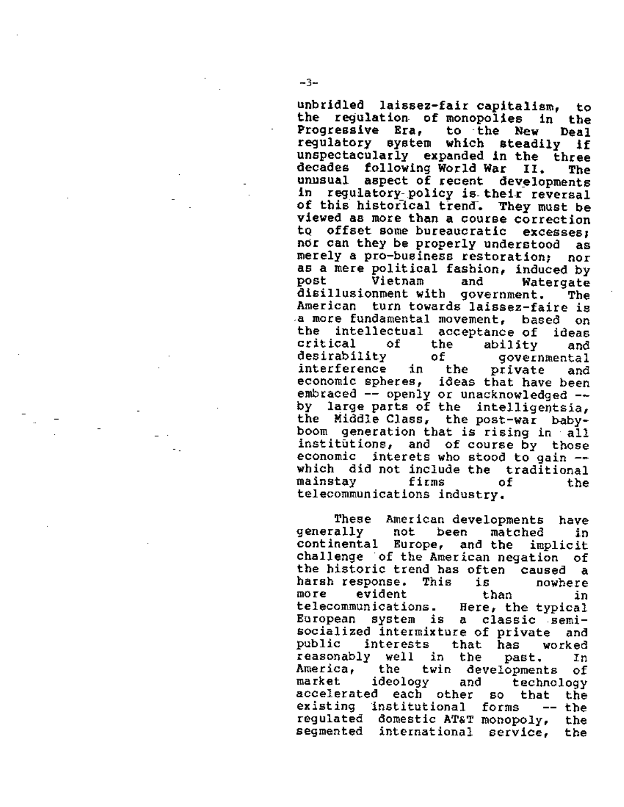unbridled laissez-fair capitalism, to the regulation of monopolies in the<br>Progressive Era, to the New Deal Progressive Era, to the New Deal regulatory system which steadily if unspectacularly expanded in the three decades following World War II. The<br>unusual aspect of recent developments in requlatory-policy is their reversal of this historical trend. They must be viewed as more than a course correction tQ offset some bureaucratic excesses, nor can they be properly understood as merely a pro-business restoration; nor as a mere political fashion, induced by<br>post 1 Vietnam and Watergate and Watergate disillusionment with government. The American turn towards laissez-faire is a more fundamental movement, based on<br>the intellectual acceptance of ideas the intellectual acceptance-of ideas<br>critical of the ability and of the ability and desirability of governmental<br>interference in the private and interference in the private and ideas that have been embraced -- openly or unacknowledged --<br>by large parts of the intelligentsia, the Middle Class, the post-war babyboom generation that is rising in all institutions, and of course by those<br>economic interets who stood to gain  $$ economic interets who stood to gain -- which did not include the traditional mainstay firms of the telecommunications industry.

These American-developments have<br>ally - not been matched - in generally not been matched in continental Europe, and the implicit challenge of the American negation of the historic trend has often caused a harsh response. This is nowhere more evident than in telecommunications. Here, the typical European system is a classic semlsocialized intermixture of private and<br>public interests that has worked interests that has worked reasonably well in the past. In America, the twin developments of market ideology and technology accelerated each other so that the existing institutional forms -- the regulated domestic AT&T monopoly, the segmented international service, the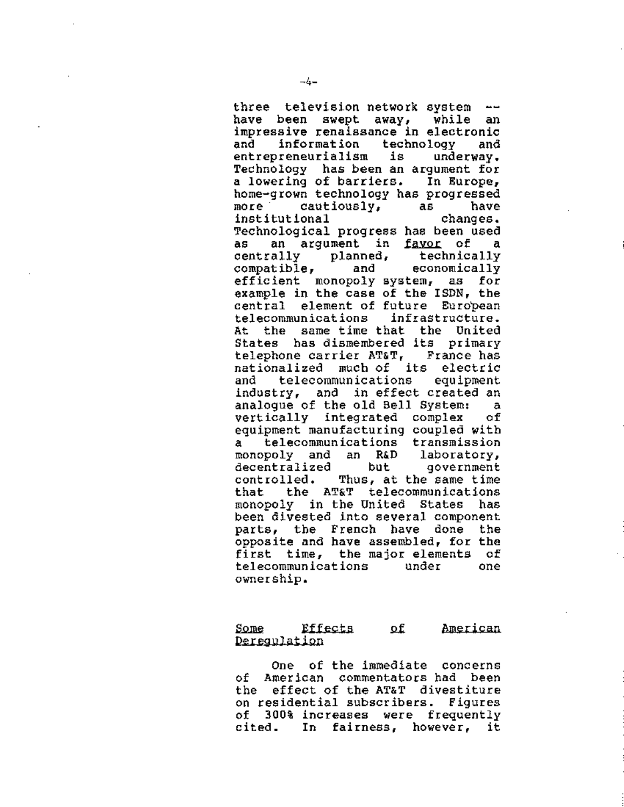three television network system --<br>have been swept away, while an impressive renaissance in electronic and information technology and entrepreneurialism is underway. Technology has been an argument for a lowering of barriers. In Europe,<br>home-grown technology has progressed<br>more cautiously, as have more cautiously, as have Technological progress has been used as an argument in <u>favor</u> of a<br>centrally planned, technically centrally planned, technically<br>compatible, and economically compatible, and efficient monopoly system, as for example in the case of the ISDN, the central element of future European telecommunications infrastructure. At the same time that the United States has dismembered its primary telephone carrier AT&T, France has nationalized much of its electric telecommunications industry, and in effect created an analogue of the old Bell System: a vertically integrated complex of equipment manufacturing coupled with a telecommunications transmission monopoly and an R&D laboratory, decentralized but government<br>controlled. Thus, at the same time Thus, at the same time that the AT&T telecommunications monopoly in the United States has been divested into several component parts, the French have done the opposite and have assembled, for the first time, the major elements of telecommunications under one ownership.

#### Some Effects of American Deregulation

One of the immediate concerns of American commentators had been the effect of the AT&T divestiture on residential subscribers. Figures of 300% increases were frequently cited. In fairness, however, it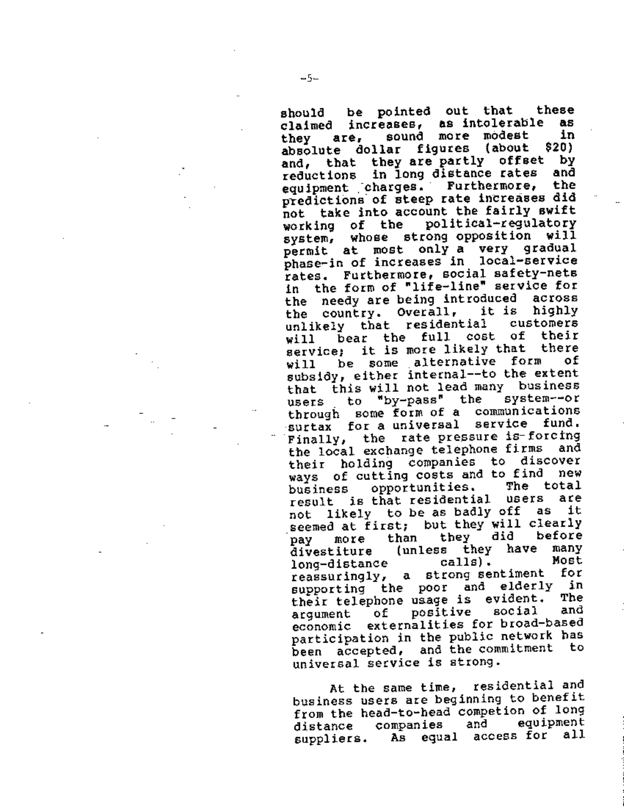should be pointed out that these claimed increases, as intolerable as<br>they are sound more modest in they are, sound more modest in<br>absolute dollar figures (about \$20) absolute dollar figures (about and, that they are partly offset by<br>coductions, in long distance rates, and reductions in long distance rates and<br>equipment charges. Furthermore, the equipment charges. predictions· of steep rate increases did not take into account the fairly swift<br>working of the political-regulatory working of the system, whose strong opposition will permit at most only a very gradual phase-in of increases in local-service rates. Furthermore, social safety-nets in the form of "life-line" service for<br>the needy are being introduced across the needy are being introduced across<br>the country, Overall, it is highly the country. Overall, it is highly unlikely that residential customers<br>uill hear the full cost of their will bear the full cost of their<br>convice: it is more likely that there service; it is more likely that there<br>will be some alternative form of will be some alternative form subsidy, either internal--to the extent that this will not lead many business<br>users to "by-pass" the system--or users to "by-pass" the through some form of a communications surtax for a universal service fund, Finally, the rate pressure is-forcing<br>the local exchange telephone firms and the local exchange telephone firms their holding companies to discover ways of cutting costs and to find new<br>hysiness coportunities. The total business opportunities. The total<br>result is that residential users are result is that residential users are<br>not likely to be as badly off as it not likely to be as badly off seemed at first; but they will clearly<br>now then they did before pay more than they did before<br>Aivestiture (unless they have many divestiture (unless they have many<br>long-distance calls), Most long-distance calls). Most<br>reassuringly a strong-sentiment for reassuringly, a strong sentiment for supporting the poor and elderly in<br>their tolophone users is evident. The their telephone usage is evident. The<br>aroument of positive social and argument of positive economic externalities for broad-based participation in the public network has been accepted, and the commitment universal service is strong.

At the same time, residential and business users are beginning to benefit from the head-to-head competion of long<br>distance companies and equipment distance companies and suppliers. As equal access for all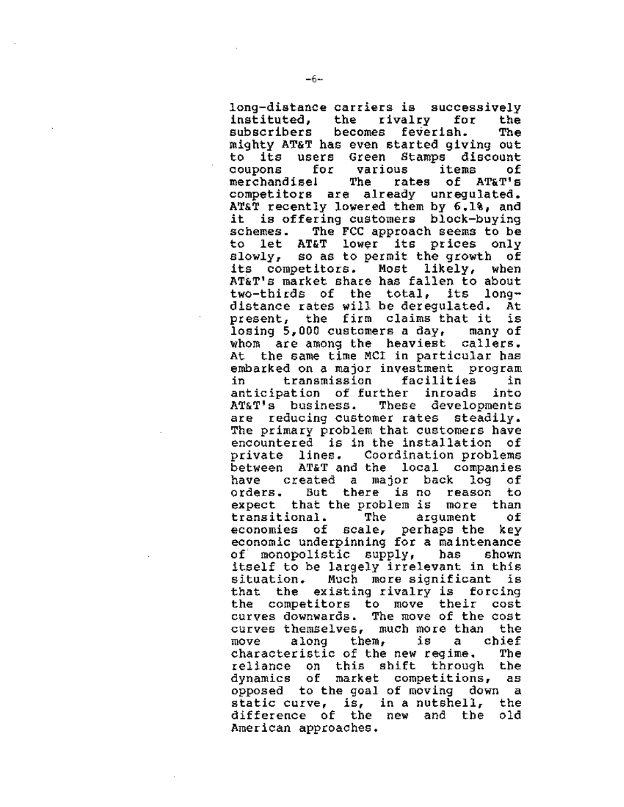long-distance carriers is successively<br>instituted, the rivalry for the instituted, the rivalry for the<br>subscribers becomes feverish. The becomes feverish. The mighty AT&T has even started giving out to its users Green Stamps discount coupons for various items of<br>merchandisel The rates of AT&T's rates of AT&T's competitors are already unregulated. AT&T recently lowered them by 6.1%, and it is offering customers block-buying schemes. The FCC approach seems to be to let AT&T lower its prices only slowly, so as to permit the growth of its competitors. Most likely, when AT&T's market share has fallen to about<br>two-thirds of the total. its longdistance rates will be deregulated. At present, the firm claims that it is losing 5,000 customers a day, many of whom are among the heaviest callers. At the same time MCI in particular has embarked on a major investment program in transmission facilities in anticipation of further inroads into<br>AT&T's business. These developments These developments are reducing customer rates steadily. The primary problem that customers have encountered is in the installation of private lines. Coordination problems between AT&T and the local companies have created a major back log of orders. But there is no reason to expect that the problem is more than<br>transitional. The arqument of transitional. economies of scale, perhaps the key economic underpinning for a maintenance<br>of monopolistic supply, has shown of monopolistic supply, itself to be largely irrelevant in this situation. Much more significant is that the existing rivalry is forcing the competitors to move their cost curves downwards. The move of the cost curves themselves, much more than the move along them, is a characteristic of the new regime. The reliance on this shift through the dynamics of market competitions, as opposed to the goal of moving down a static curve, is, in a nutshell, the difference of the new and the old American approaches.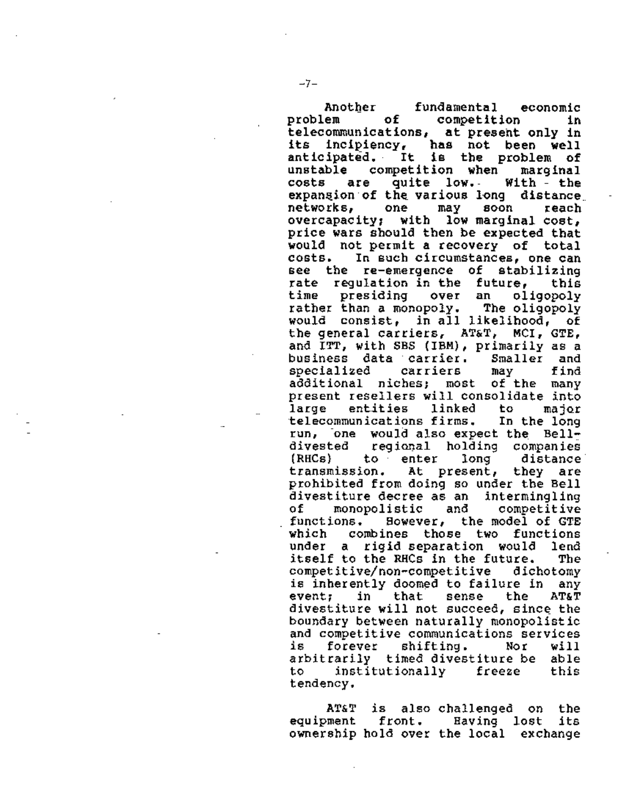Another fundamental economic<br>problem of competition in competition in telecommunications, at present only in<br>its incipiency, has not been well has not been well anticipated. It is the problem of<br>unstable competition when maroinal competition when marginal costs are quite low.- With - the expangion of the various long distance<br>networks, one may soon reach networks, one may soon reach overcapacity: with low marginal cost. price wars should then be expected that would not permit a recovery of total<br>costs. In such circumstances, one can In such circumstances, one can see the re-emergence of stabilizing rate regulation-in-the future, this<br>time presiding over an oligopoly time presiding over an oligopoly rather than a monopoly. The oligopoly would consist, in all likelihood, of the general carriers, AT&T, MCI, GTE, and ITT, with SBS (IBM), primarily as a business data carrier. Smaller and<br>specialized carriers may find specialized carriers may find<br>additional niches: most of-the many additional niches; most of the many present resellers will consolidate into<br>large entities linked to major large entities linked to major<br>telecommunications firms. In the\_long run, one would also expect the Bell-<br>divested freqional holding companies divested regional holding companies<br>(RHCs) to enter long distance transmission. At present, they are prohibited from doing so under the Bell divestiture decree as an intermingling<br>of monopolistic and competitive<br>functions. However, the model of GTE which combines those two functions under a rigid separation would lend itself to the RHCs in the future. The<br>competitive/non-competitive dichotomy is inherently doomed to failure in any<br>event; in that sense the AT&T event; in that sense the AT&T divestiture will not succeed, since the boundary between naturally monopolistic and competitive communications services is forever shifting. Nor will arbitrarily timed divestiture be able to institutionally freeze this tendency.

AT&T equipment ownership hold over the local exchange is also challenged on the front. Having lost its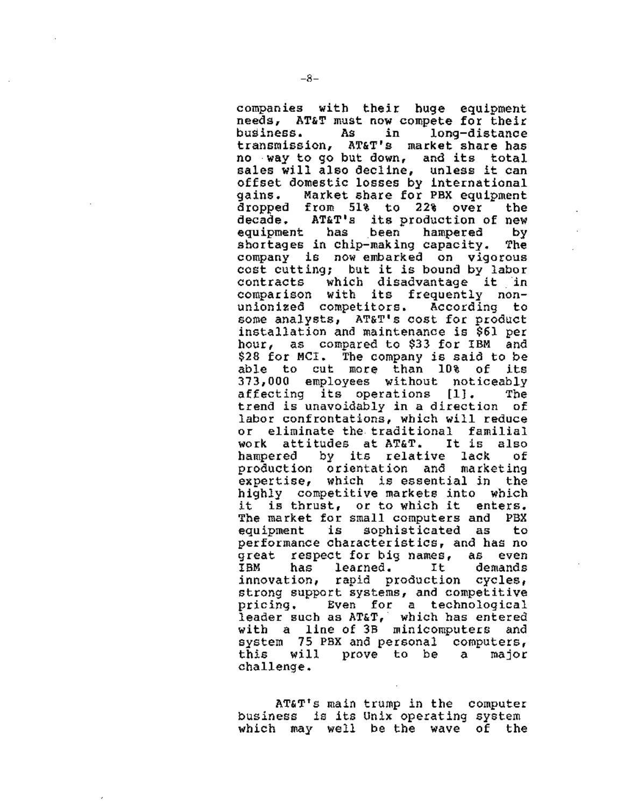companies with their huge equipment needs, AT&T must now compete for their business. As in long-distance<br>transmission, AT&T's market\_share\_has AT&T's market share has no way to go but down, and its total sales will also decline, unless it can offset domestic losses by international<br>qains. Market share for PBX equipment Market share for PBX equipment dropped from 51% to 22% over the<br>decade. AT&T's its-production-of-new AT&T's its production of new<br>bas been hampered by: equipment has been hampered by shortages in chip-making capacity. The company is now embarked on vigorous cost cutting; but it is bound by labor contracts which disadvantage it in comparison with its frequently nonunionized competitors. According to some analysts, AT&T's cost for product installation and maintenance is \$61 per hour, as compared to \$33 for IBM and \$28 for MCI. The company is said to be able to cut more than 10% of its 373,000 employees without noticeably affecting its operations [1]. The trend is unavoidably in a direction of labor confrontations, which will reduce or eliminate the traditional familial<br>work attitudes at AT&T. It is also attitudes at AT&T. hampered by its relative lack of production orientation and marketing expertise, which is essential in the highly competitive markets into which it is thrust, or to which it enters. The market for small computers and PBX equipment is sophisticated as to performance characteristics, and has no great respect-for-big-names, as even<br>IBM - has learned. It - demands has learned. It demands innovation, rapid production cycles, strong support systems, and competitive pricing. Even for a technological leader such as AT&T, which has entered with a line of 3B minicomputers and system 75 PBX and personal computers, this will prove to be a major challenge.

AT&T's main trump in the compute business is its Unix operating system which may well be the wave of the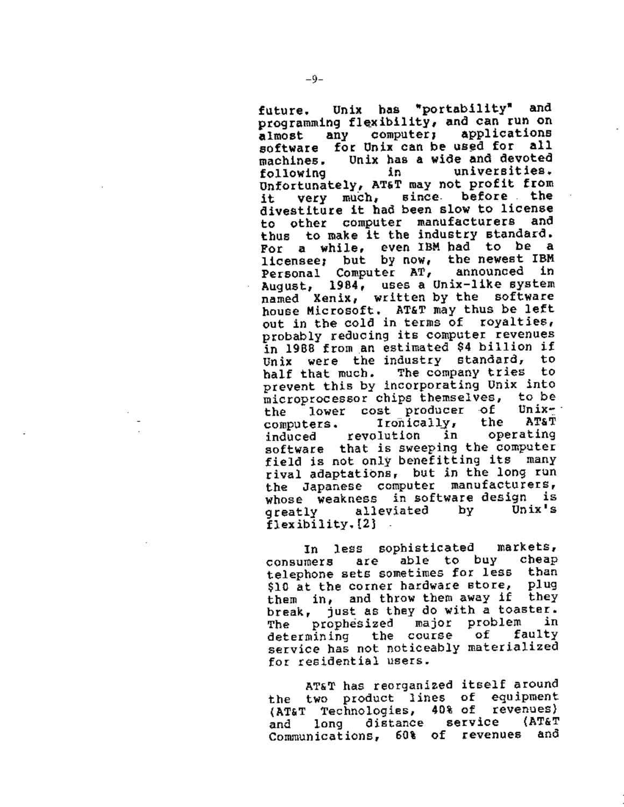future. Unix has "portability" and programming flexibility, and can run on<br>almost any computer; applications almost any computer; applications<br>software for…Unix can be used for all machines. Unix has a wide and devoted<br>following in in universities. following in universit Unfortunately, AT&T may not profit from it very muCh, since. before the divestiture it had been slow to license<br>to other computer manufacturers and to other computer manufacturers thus to make it the industry standard. For a while, even IBM had to be a licensee; but by now, the newest IBM<br>Personal Computer AT, appounced in Personal Computer AT, announced August, 1984, uses a Unix-like system named Xenix, written by the software house Microsoft. AT&T may thus be left<br>out in the cold in terms of royalties, probably reducing its computer revenues in 1988 from an estimated \$4 billion if<br>Unix, were, the industry, standard, to Unix were the industry standard, half that much. The company tries to prevent this by incorporating Unix into microprocessor chips themselves, to be<br>the lower cost producer of Unixthe lower cost producer of Unixcomputers. Ironically, the AT&T induced revolution in software that is sweeping the computer field is not only benefitting its many rival adaptations, but in the long run the Japanese computer manufacturers, whose weakness in software-design is<br>greatly - alleviated - by - Unix's greatly alleviated flexibility. [21

In less sophisticated markets,<br>mers, are able to buy cheap consumers are able to buy telephone sets sometimes for less than<br>Sin at the corner hardware store, plug \$10 at the corner hardware store, them in, and throw them away if they break, just as they do with a toaster. The prophesized major problem in<br>determining the course of faulty determining the course service has not noticeably materialized for residential users.

AT&T has reorganized itself around the two product lines of equipment (AT&T Technologies, 40% of revenues)<br>and long distance service (AT&T and long distance service Communications, 60% of revenues and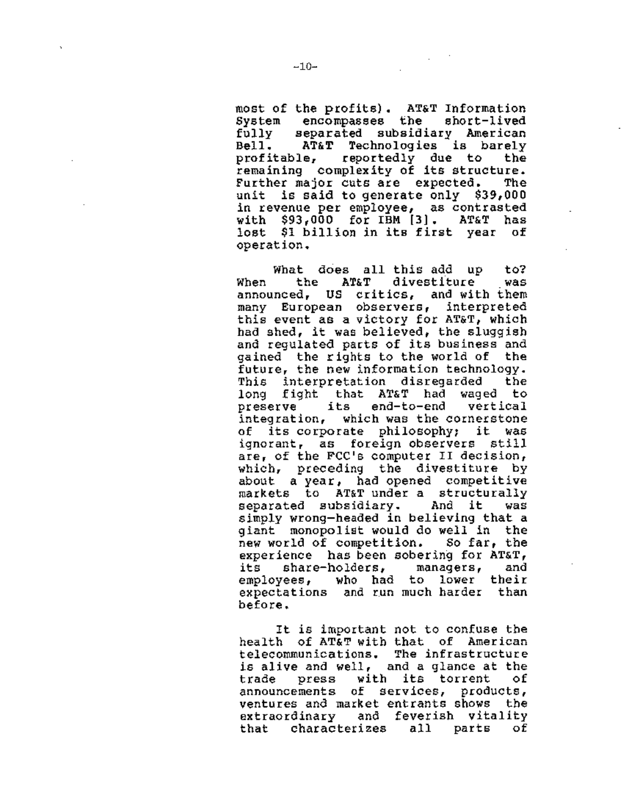most of the profits). AT&T Information System encompasses the short-lived fully separated subsidiary American<br>Bell. AT&T Technologies is barely AT&T Technologies is barely profitable, reportedly due to the remaining complexity of its structure. Further major cuts are expected. The<br>unit is said to generate only \$39,000 is said to generate only \$39,000 in revenue per employee, as contrasted with \$93,000 for IBM [3]. AT&T has lost \$1 billion in its first year of operation.

What does all this add up to? When the AT&T divestiture was announced, US critics, and with them many European observers, interpreted this event as a victory for AT&T, which had shed, it was believed, the sluggish and regulated parts of its business and gained the rights to the world of the future, the new information technology. This interpretation disregarded the long fight that AT&T had waged to<br>preserve its end-to-end vertical its end-to-end integration, which was the cornerstone of its corporate philosophy; it was ignorant, as foreign observers still are, of the FCC's computer II decision, which, preceding the divestiture by about a year, had opened competitive markets to AT&T under a structurally separated subsidiary. And it was simply wrong-headed in believing that a giant monopolist would do well in the new world of competition. So far, the experience has been sobering for AT&T,<br>its share-holders, managers, and its share-holders, managers, and employees, who had to lower their expectations and run much harder than before.

It is important not to confuse the health of AT&T with that of American telecommunications. The infrastructure is alive and well, and a glance at the<br>trade goress with its torrent of trade press with its torrent of announcements of services, products, ventures and market entrants shows the extraordinary and feverish vitality that characterizes all parts of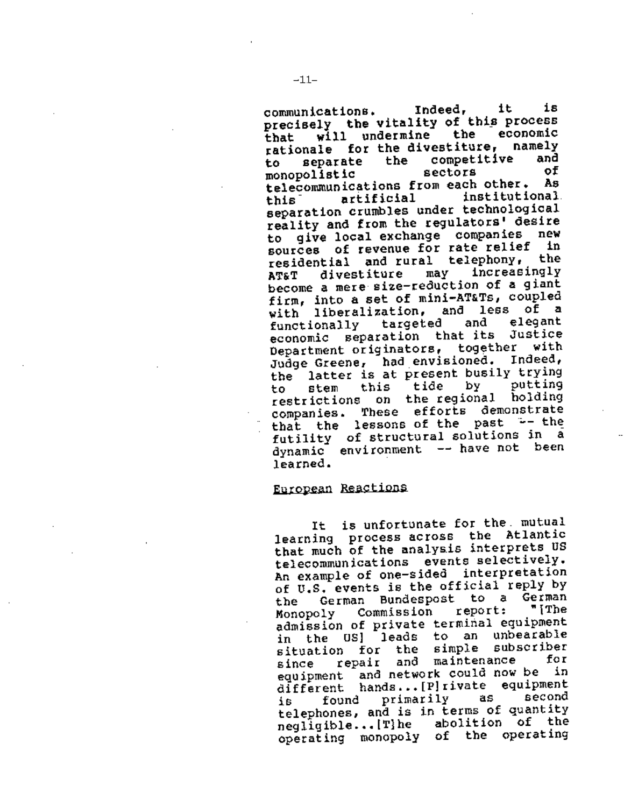communications, Indeed, it is precisely the vitality of this process<br>that will undermine the economic<br>stigmale for the divestiture, namely rationale for the divestiture, namely<br>to coparate, the competitive and to separate the competitive and<br>monopolistic sectors of monopolistic sectors of telecommunications from each other. As<br>this artificial institutional this<sup>-</sup> artificial institutional<br>separation crumbles under technological reality and from the regulators' desire to give local exchange companies new sources of revenue for rate relief in residential and rural telephony, the<br>ager divestiture may increasingly AT&T divestiture may increasingly become a mere size-reduction of a giant firm, into a set of mini-AT&Ts, coupled with liberalization, and less of a<br>functionally targeted and elegant functionally targeted and elegant economic separation that its Justice Department originators, together with<br>Judge Greene, had envisioned, Indeed, Judge Greene, had envisioned. the latter is at present busily trying<br>to stem this tide by putting to stem this tide by putting<br>restrictions on the regional holding<br>companies, These efforts demonstrate that the lessons of the past -- the futility of structural solutions in a dynamic environment -- have not been learned.

### European Reactions

It is unfortunate for the. mutual learning process across the Atlantic that much of the analysis interprets US<br>telecommunications events selectively. An example of one-sided interpretation<br>of U.S. events is the official reply by<br>the German Bundespost to a German<br>Manapoly Commission report: "The Monopoly Commission report: admission of private terminal equipment<br>in the OS] leads to an unbearable<br>situation for the simple subscriber situation for the simple subscriber since repair and maintenance equipment and network could now be in different hands...[P]rivate equipment<br>is found primarily as second<br>telephones, and is in terms of quantity  $negligible...$  [T}he abolition of the operating monopoly of the operating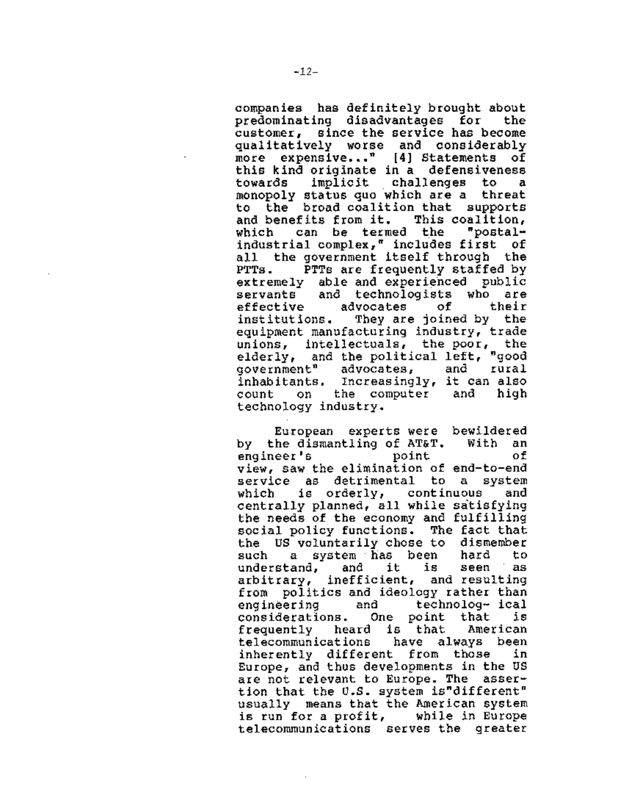companies has definitely brought about predominating disadvantages for the customer, since the service has become qualitatively worse and considerably more expensive..."  $[4]$  Statements of this kind originate in a defensiveness towards implicit challenges to a monopoly status quo which are a threa to the broad coalition that supports<br>and benefits from it. This coalition. and benefits from it. This coalition,<br>which can be termed the "postalwhich can be termed the industrial complex," includes first of all the government itself through the<br>PTTs. PTTs are frequently staffed by PTTs. PTTs are frequently staffed by extremely able and experienced public servants and technologists who are<br>effective advocates of their effective advocates of institutions. They are joined by the equipment manufacturing industry, trade unions, intellectuals, the poor, the elderly, and the political left, "good<br>government" advocates, and rural advocates, and inhabitants, Increasingly, it can also count on the computer and high technology industry.

European experts were bewildered by the dismantling of AT&T. With an engineer's point of view, saw the elimination of end-to-end service as detrimental to a system which is orderly, continuous and centrally planned, all while satisfying the needs of the economy and fulfilling social policy functions. The fact that the US voluntarily chose to dismember<br>such a system has been hard to such a system has been hard to understand, and it is seen as arbitrary, inefficient, and resulting from politics and ideology rather than engineering and technolog- ical considerations. One point that is frequently heard is that American telecommunications inherently different from those in Europe, and thus developments in the US are not relevant to Europe. The assertion that the U.S. system is"different" usually means that the American system is run for a profit, while in Europe telecommunications serves the greater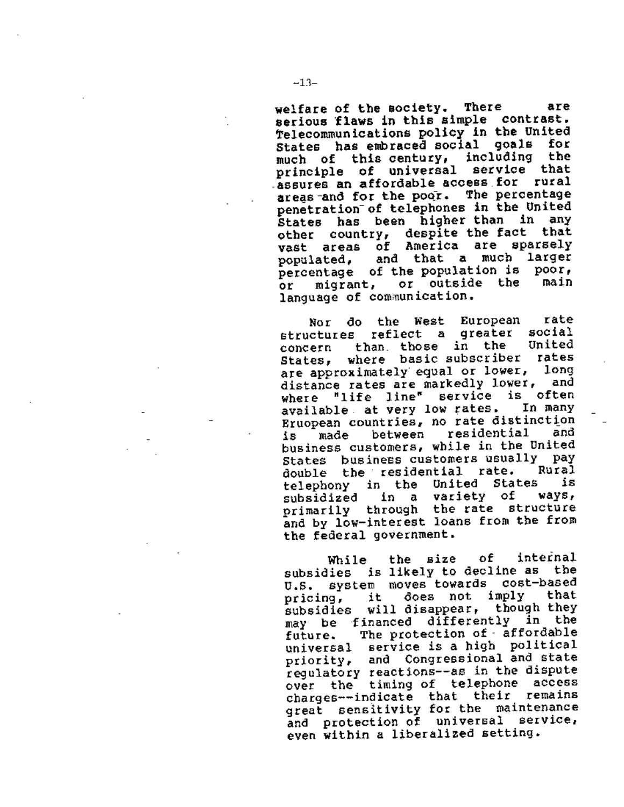welfare of the society. There are serious flaws in this simple contrast. telecommunications policy in the United States has embraced social goals for<br>much of this century, including the much of this century, principle of universal service that -assures an affordable access for rural<br>areas-and for the poor. The percentage penetration of telephones in the United States has been higher than in any<br>other country, despite the fact that<br>vast areas of America are sparsely vast areas of America are sparsely populated, and that a much larger percentage of the population is poor,<br>or micrant, or outside the main or migrant, or outside the language of communication.

Nor do the West European rate<br>ctures reflect a greater social structures reflect a greater social<br>consern than those in the United concern than. those in the United States, where basic-subscriber rates<br>are-approximately equal or lower, long distance rates are markedly lower, and where "life line" service is often<br>available at very low rates. In many Eruopean countries, no rate distinction<br>is made between residential and is made between residential business customers, while in the United States business customers usually pay<br>double the residential rate. Rural<br>telephony in the United States is telephony in the United States is<br>subsidized in a variety of ways, subsidized in a variety of ways,<br>primarily through the-rate structure and by low-interest loans from the from the federal government.

While the size of internal subsidies is likely to decline as the<br>U.S. system moves towards cost-based U.S. system moves towards cost-based pricing, it does not imply subsidies will disappear, though they may be financed differently in the future. The protection of - affordable universal service is a high political priority, and Congressional and state regulatory reactions--as in the dispute over the timing of telephone access charges--indicate that their remains great sensitivity for the maintenance and protection of universal service, even within a liberalized setting.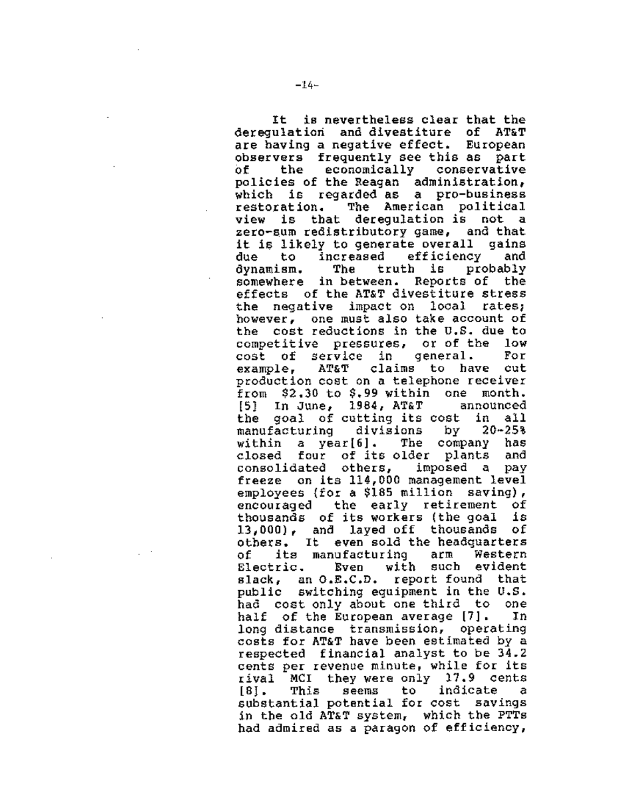It is nevertheless clear that the deregulatiori and divestiture of AT&T are having a negative effect. European observers frequently see this as part of the economically conservative policies of the Reagan administration, which is regarded as a pro-business restoration. The American political that deregulation is not a zero-sum redistributory game, and that it is likely to generate overall gains<br>due to increased efficiency and due to increased efficiency and<br>dynamism. The truth is probably dynamism. The truth is somewhere in between. Reports of the effects of the AT&T divestiture stress the negative impact on local rates; however, one must also take account of the cost reductions in the U.S. due to competitive pressures, or-of-the low<br>cost of service in general. For cost of service in general. For<br>example, AT&T claims to have cut claims to have cut production cost on a telephone receiver from \$2.30 to \$.99 within one month.  $[5]$  In June, 1984, AT&T the goal of cutting its cost in all manufacturing divisions by 20-25% within a year[6]. The company has closed four of its-older plants and<br>consolidated others, imposed a pay consolidated others, freeze on its 114,000 management level employees {for a \$185 million saving), encouraged the early retirement of<br>thousands of its-workers (the-goal is thousands of its workers (the goal is  $13,000$ , and layed off thousands others. It even sold the headquarters of its manufacturing arm Western<br>Electric, Even with such evident Electric. Even with such slack, an O.E.C.D. report found that public switching equipment in the U.S. had cost only about one third to one half of the European average [7]. In long distance transmission, operating costs for AT&T have been estimated by a respected financial analyst to be 34.2 cents per revenue minute, while for its rival MCI they were only 17.9 cents [SJ. This seems to indicate a substantial potential for cost savings in the old AT&T system, which the PTTs had admired as a paragon of efficiency,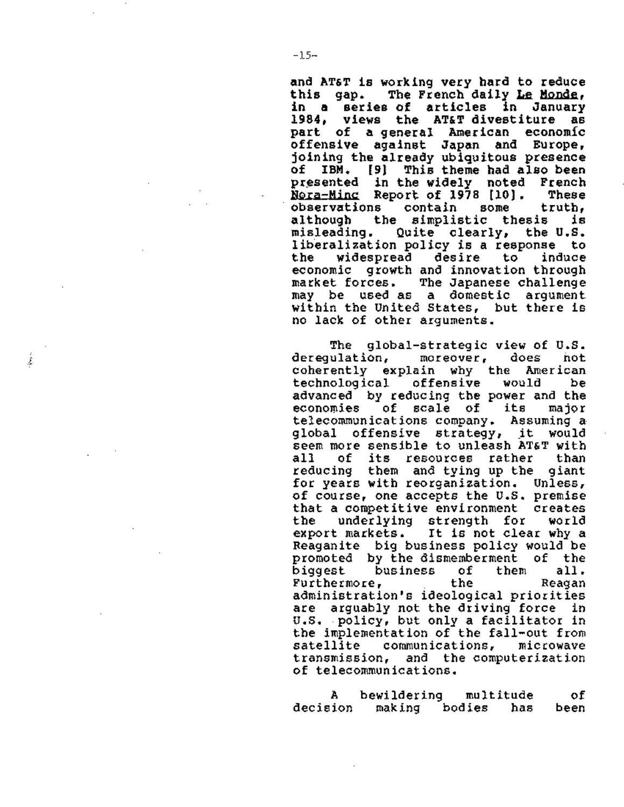and AT&T is working very hard to reduce this gap. The French daily Le Monde, in a series of articles in January 1984, views the AT&T divestiture as part of a general American economic offensive against Japan and Europe, joining the already ubiquitous presence of IBM. (91 This theme had also been presented in the widely noted French Nora-Ming Report of 1978 [10]. These<br>observations contain some truth. observations<br>although th although the simplistic thesis is<br>misleading, Quite clearly, the U.S. Quite clearly, liberalization policy is a response to<br>the widespread desire to induce the widespread desire to induce economic growth and innovation through market forces. The Japanese challenge within the United States, but there is no lack of other arguments.

The global-strategic view of U.S.<br>ulation, moreover, does hot deregulation, coherently explain why the American<br>technological offensive would be technological offensive would be advanced by reducing the power and the<br>economies of scale of its major economies of scale of its major telecommunications company. Assuming a global offensive strategy, it would seem more sensible to unleash AT&T with all of its resources rather than<br>reducing them and-tying-up-the giant reducing them and tying up the giant for years with reorganization. Unless, of course, one accepts the U.S. premise<br>that a competitive environment creates<br>the underlying strength for world the underlying strength for<br>export markets. It is not clea It is not clear why a Reaganite big business policy would be<br>promoted by the dismemberment of the promoted by the dismemberment of the business of<br>them a Furthermore, the Reagan administration's ideological priorities are arguably not the driving force in u.s. policy, but only a facilitator in the implementation of the fall-out from<br>satellite communications, microwave satellite communications,<br>transmission, and the-comp transmission, and the computerization<br>of telecommunications.

A bewildering multitude of decision making bodies has been

*i*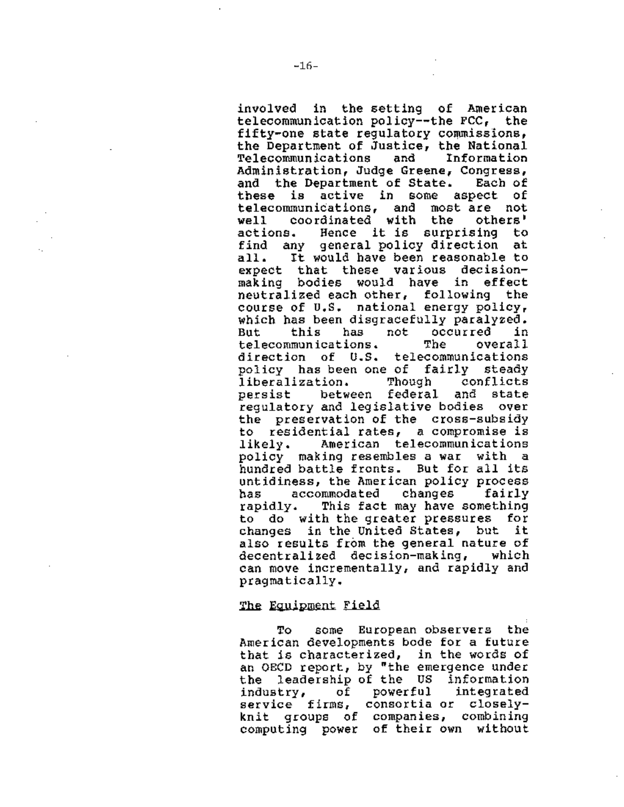involved in the setting of American telecommunication policy--the FCC, the fifty-one state regulatory commissions, the Department of Justice, the National<br>Telecommunications and Information Telecommunications and Administration, Judge Greene, Congress,<br>and the Department of State. Each of and the Department of State.<br>these is active in some a is active in some aspect of telecommunications, and most-are not<br>well coordinated with the others' well coordinated with the others'<br>actions. Hence it-is surprising to Hence it is surprising find any general policy direction at all. It would have been reasonable to expect that these various decisionmaking bodies would have in effect neutralized each other, following the course of u.s. national energy policy, which has been disgracefully paralyzed.<br>But this has not occurred in occurred in<br>The overall telecommunications. The overall direction of U.S. telecommunications policy has been one of fairly steady<br>liberalization. Though conflicts liberalization. persist between federal and state regulatory and legislative bodies over the preservation of the cross-subsidy to residential rates, a compromise is likely. American telecommunications policy making resembles a war with a hundred battle fronts. But for all its untidiness, the American policy process<br>has accommodated changes fairly has accommodated changes rapidly. This fact may have something to do with the greater pressures for changes in the United States, but it also results from the general nature of decentralized decision-making, which can move incrementally, and rapidly and pragmatically.

### The Equipment Field

To some European observers the American developments bode for a future that is characterized, in the words of an OECD report, by "the emergence under the leadership of the US information industry, of powerful integrated service firms, consortia or closel knit groups of companies, combining computing power of their own without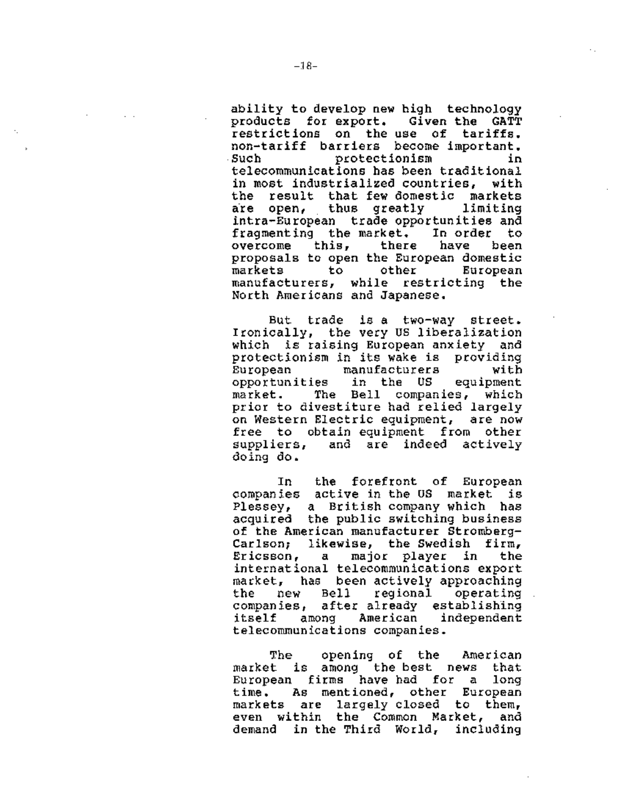ability to develop new high technology products for export, Given the GATT restrictions on the use of tariffs, non-tariff barriers become important, Such protectionism in telecommunications has been traditional<br>in most industrialized countries, with in most industrialized countries, the result that few-domestic markets<br>are open, thus greatly - limiting are open, thus greatly intra-European trade opportunities and fragmenting the market. In order to overcome this, there have been proposals to open the European domestic European manufacturers, while restricting the North Americans and Japanese.

But trade is a two-way street. Ironically, the very us liberalization which is raising European anxiety and protectionism in its wake is providing<br>European manufacturers with manufacturers with<br>in the US equipment opportunities market. The Bell companies, which prior to divestiture had relied largely on Western Electric equipment, are now free to obtain equipment from other suppliers, and are indeed actively doing do.

In the forefront of European companies active in the OS market is Plessey, a British company which has acquired the public switching business of the American manufacturer Stromberg-Carlson; likewise, the Swedish firm, Ericsson, a major player in the international telecommunications export market, has been actively approaching the new Bell regional operating companies, after already establishing itself among American independent telecommunications companies.

The opening of the American market is among the best news that European firms have had for a long time. As mentioned, other European markets are largely closed to them,<br>even within the Common Market, and even within the Common Market, demand in the Third World, including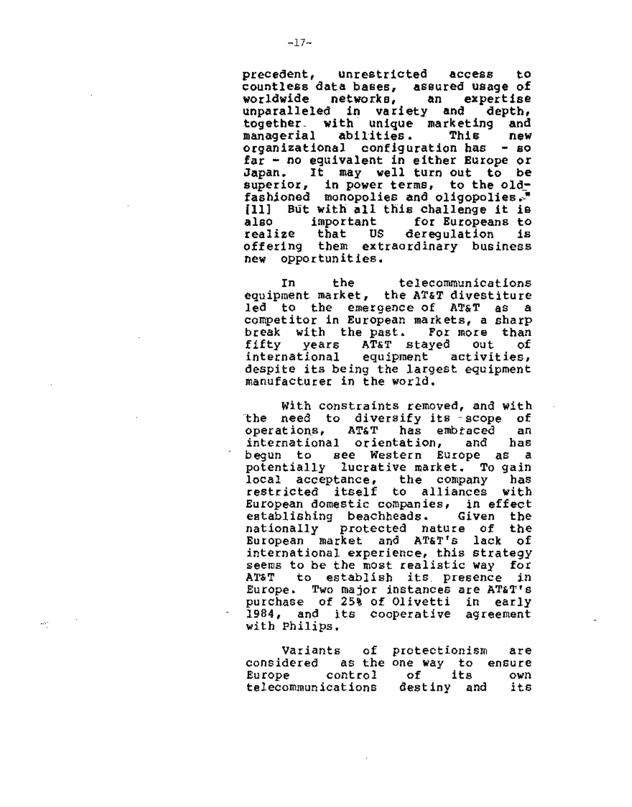precedent, unrestricted access to countless data bases, assured usage of<br>worldwide metworks, an expertise worldwide networks, an unparalleled in variety and depth, together\_ with unique marketing and managerial abilities. This new organizational configuration has - so far - no equivalent in either Europe or Japan. It may well turn out to be superior, in power terms, to the oldfashioned monopolies and oligopolies.<sup>4</sup> [11] But with all this challenge it is<br>also simportant for Europeans to also important for\_Europeans\_to<br>realize that US derequlation is realize that US deregulation is offering them extraordinary business new opportunities.

In the telecommunications equipment market, the AT&T divestiture led to the emergence of AT&T as a competitor in European markets, a sharp break with the-past. For-more than<br>fifty -years -AT&T stayed -out - of fifty years AT&T stayed out of international equipment activities, despite its being the largest equipment manufacturer in the world.

With constraints removed, and with the need to diversify its scope of<br>operations, AT&T has embraced an operations, AT&T has embtaced an international orientation, and has begun to see Western Europe as a potentially lucrative market. To gain local acceptance, the company has restricted itself to alliances with European domestic companies, in effect establishing beachheads. Given the nationally protected nature of the European market and AT&T's lack of international experience, this strategy seems to be the most realistic way for AT&T to establish its presence in Europe. Two major instances are AT&T's purchase of 25% of Olivetti in early 1984, and its cooperative agreement with Philips.

Variants of considered as the one way to ensur Europe control telecommunications protectionism are of its own destiny and its

÷.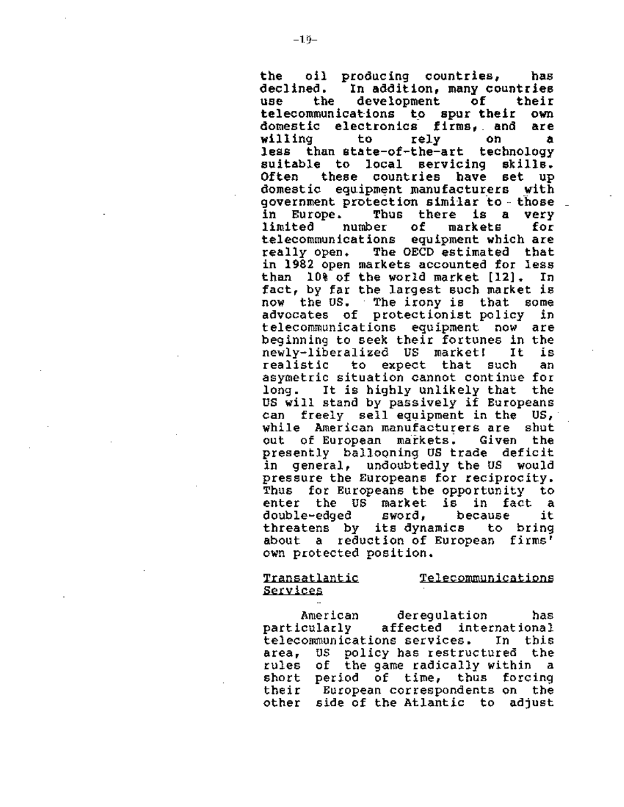the oil producing countries, has declined. In addition, many countries<br>use the development of their development of their<br>tions to spurtheir own telecommunications to spur their domestic electronics firms,\_ and are willing to rely on a less than state-of-the-art technology<br>suitable to local servicing skills.<br>Often these countries have set up Often these countries have set up domestic equipment manufacturers with qovernment protection similar to --those \_ in Europe. Thus there is a very limited number of markets for telecommunications equipment which are<br>really open. The OECD estimated that The OECD estimated that in 1982 open markets accounted for less than 10% of the world market [12]. In fact, by far the largest such market is now the us. The irony is that some advocates of protectionist policy in telecommunications equipment now are beginning to seek their fortunes in the newly-liberalized US market! It is realistic to expect that such asymetric situation cannot continue for long. It is highly unlikely that the US will stand by passively if Europeans can freely sell equipment in the US, while American manufacturers are shut<br>out of European markets. Given the out of European markets. Given the presently ballooning US trade deficit in general, undoubtedly the us would pressure the Europeans for reciprocity. Thus for Europeans the opportunity to enter the US market is in fact a<br>double-edged sword, because it double-edged sword, because it<br>threatens by its-dynamics to bring about a reduction of European firms' own protected position.

# Transatlantic services

Telecommunications

American deregulation has<br>particularly affected international affected international telecommunications services. In this area, US policy has restructured the rules of the game radically within a<br>short period of time, thus forcing short period of time, thus forcing their European correspondents on the other side of the Atlantic to adjust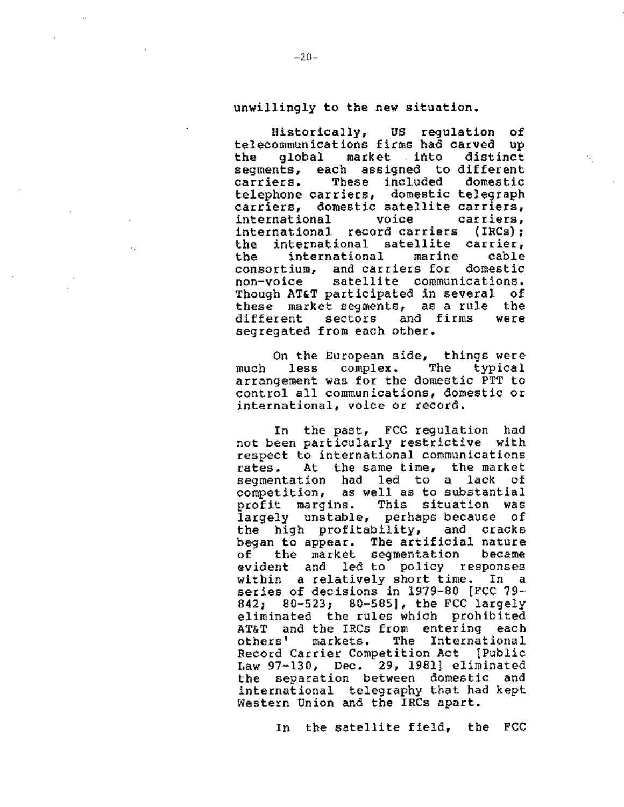## unwillingly to the new situation.

Bistorically, US regulation of telecommunications firms had carved up<br>the alobal market into distinct global market into segments, each assigned to-different<br>carriers. These included domestic These included domestic telephone carriers, domestic telegraph carriers, domestic satellite carriers, international international record carriers (IRCs): the international satellite carrier,<br>the international marine cable the international marine cable consortium, and carriers for domestic non-voice satellite communications. Though AT&T participated in several of these market segments, as a rule the different sectors and firms were segregated from each other.

On the European side, things were<br>less complex. The typical much less complex. The typical arrangement was for the domestic PTT to control all communications, domestic or international, voice or record,

In the past, FCC regulation had not been particularly restrictive with respect to international communications rates. At the same time, the market segmentation had led to a lack of competition, as well as to substantial profit margins. This situation was largely unstable, perhaps because of the high profitability, and cracks began *to* appear. The artificial nature of the market segmentation became evident and led to policy responses within a relatively short time. In a series of decisions in 1979-80 [FCC 79- 842; 80-523; 80-585], the FCC largely eliminated the rules which prohibited AT&T and the IRCs from entering each others' markets, The International Record Carrier Competition Act !Public Law 97-130, Dec. 29, 1981] eliminated the separation between domestic and international telegraphy that had kept Western Union and the IRCs apart.

In the satellite field, the FCC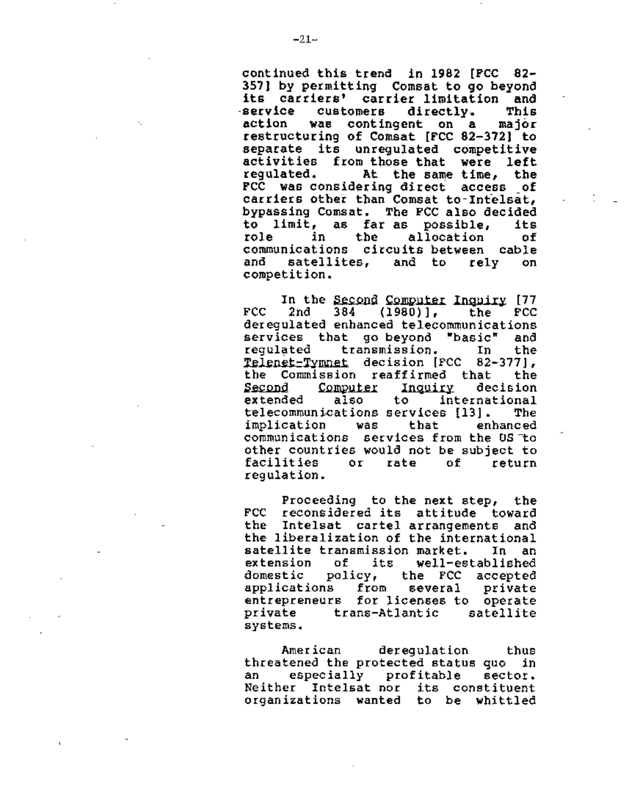continued this trend in 1982 [FCC 82- 357] by permitting Comsat to go beyond<br>its carriers' carrier limitation and<br>service customers directly. This service customers directly.<br>action was contingent on a was contingent on a major restructuring of Comsat [FCC 82-3721 to separate its unregulated competitive<br>activities from those that were left<br>regulated. At the same time, the At the same time, the FCC was considering direct access \_of carriers other than Comsat to-Intelsat, bypassing Comsat. The FCC also decided to limit, as far as possible, its role in the allocation of communications circuits-between cable<br>and satellites, and to rely on satellites. competition.

In the Second Computer Inquiry [77<br>FCC 2nd 384 (1980)], the FCC deregulated enhanced telecommunications<br>services that go beyond "basic" and services that go-beyond "basic"<br>regulated transmission. In transmission. In the **Telenet-Tymnet** decision [FCC 82-377],<br>the Commission reaffirmed that the the Commission reaffirmed that Second Computer Inquiry decision<br>extended also to international to international telecommunications services [13]. The implication was that enhanced communications services from the US to other countries would not be subject to<br>facilities or rate of return facilities or rate of return regulation.

Proceeding to the next step, the FCC reconsidered its attitude toward the Intelsat cartel arrangements and the liberalization of the international satellite transmission market. In an extension of its well-established<br>domestic policy, the FCC accepted domestic policy, the FCC accepted applications from several private entrepreneurs for licenses to operate<br>private trans-Atlantic satellite systems.

American deregulation thus threatened the protected status quo in an especially profitable sector. Neither Intelsat nor its constituent organizations wanted to be whittled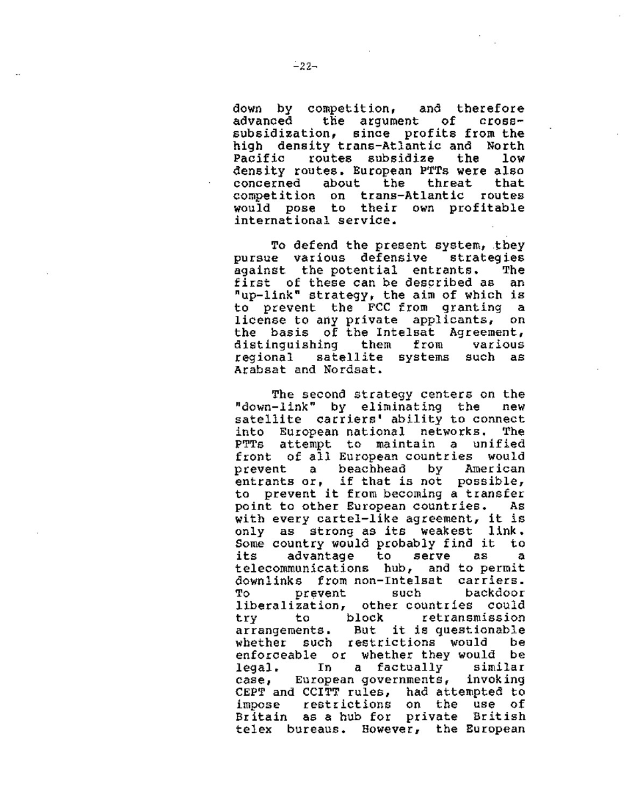down by competition, and therefore the argument of crosssubsidization, since profits from the high density trans-Atlantic and North Pacific routes subsidize the low density routes. European PTTs were also concerned about the threat that competition on trans-Atlantic routes would pose to their own profitable international service.

To defend the present system, they pursue various defensive strategies<br>against the potential entrants. The against the potential entrants. first of these can be described as an "up-link" strategy, the aim of which is to prevent the FCC from granting a license to any private applicants, on the basis of the Intelsat Agreement, distinguishing them from various regional satellite systems such as Arabsat and Nordsat.

The second strategy centers on the "down-link" by eliminating the new satellite carriers' ability to connect into European national networks, The PTTs attempt to maintain a unified front of all European countries would prevent a beachhead by American entrants or, if that is not possible, to prevent it from becoming a transfer point to other European countries. As with every cartel-like agreement, it is only as strong as its weakest link. Some country would probably find it to its advantage to serve as a telecommunications hub, and to permit downlinks from non-Intelsat carriers. To prevent such backdoor liberalization, other\_countries could<br>try = to = block = retransmission try to block retransmission arrangements. But it is questionable whether such restrictions would be enforceable or whether they would be legal. In a factually similar case, European governments, invoking CEPT and CCITT rules, had attempted to impose restrictions on the use of Britain as a hub for private British telex bureaus. However, the European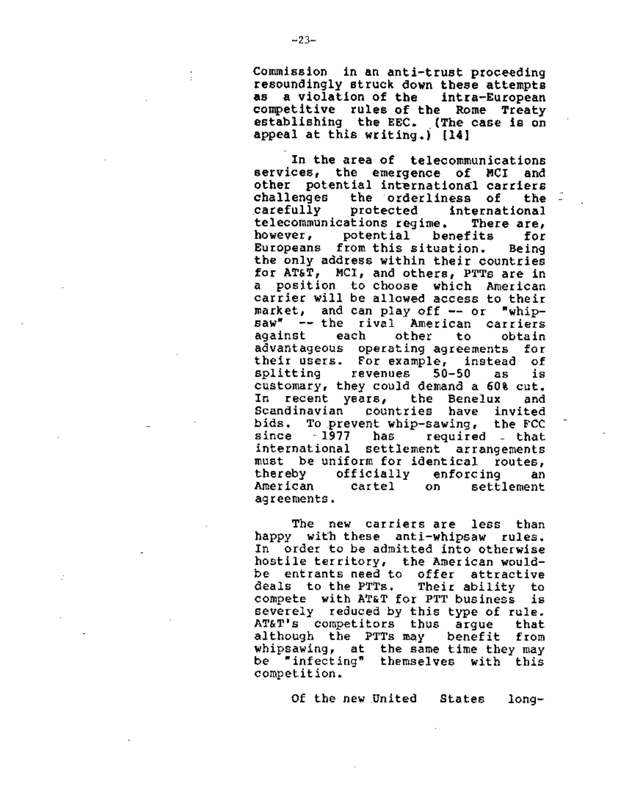Commission in an anti-trust proceeding<br>resoundingly struck down these attempts<br>as a violation of the intra-European competitive rules of the Rome Treaty<br>establishing the EEC. (The case is on appeal at this writing.) {14]

In the area of telecommunications<br>ces, the emergence of MCI and services, the emergence of MCI other potential international carriers challenges the orderliness of the -<br>carefully protected international carefully protected international<br>telecommunications regime, There-are, telecommunications regime. however, potential benefits for<br>Europeans from this situation. Being Europeans from this situation. Being the only address within their countries for AT&T, MCI, and others, PTTs are in a position to choose which American carrier will be allowed access to their market, and can play off -- or "whipsaw<sup>\*</sup> -- the rival American carriers<br>against each other to obtain against advantageous operating agreements for their users. For example, instead of splitting revenues 50-50 as is customary, they could demand a 60% cut. In recent years, the Benelux and Scandinavian countries have invited<br>bids. To prevent whip-sawing, the FCC To prevent whip-sawing,<br>-1977 has Fequired since 1977 has required that international settlement arrangements must be uniform for identical routes, thereby officially enforcing an<br>American cartel on settlement American agreements.

The new carriers are less than happy with these anti-whipsaw rules. In order to be admitted into otherwise hostile territory, the American wouldbe entrants need to offer attractive<br>deals to the PTTs, Their ability to deals to the PTTs. compete with AT&T for PTT business is severely reduced by this type of rule. AT&T's competitors thus argue that although the PTTs may benefit from whipsawing, at the same time they may<br>be "infecting" themselves with this competition.

Of the new United States long-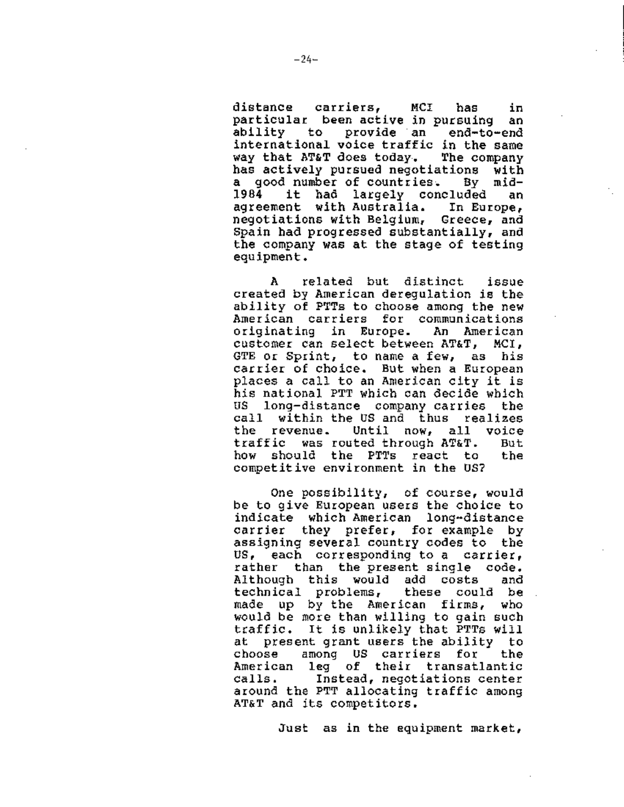distance carriers, MCI has in particular been active in pursuing an ability to provide an end-to-end international voice traffic in the same<br>way that AT&T does today. The company way that AT&T does today. has actively pursued negotiations with a good number of countries. By mid-<br>1984 it had largely concluded an it had largely concluded an<br>nt with-Australia. In-Europe, agreement with Australia. negotiations with Belgium, Greece, and Spain had progressed substantially, and the company was at the stage of testing equipment.

A related but distinct issue created by American deregulation is the ability of PTTs to choose among the new<br>American carriers for communications American carriers for communications<br>originating in Europe. An American originating in Europe. customer can select between AT&T, MCI, GTE or Sprint, to name a few, as his carrier of choice. But when a European places a call to an American city it is his national PTT which can decide which US long-distance company carries the call within the US and thus realizes the revenue. Until now, all voice traffic was routed through AT&T. But how should the PTTs react to the competitive environment in the US?

One possibility, of course, would be to give European users the choice to indicate which American long-distance carrier they prefer, for example by assigning several country codes to the US, each corresponding to a carrier, rather than the present single code. Although this would add costs and technical problems, these could be made up by the American firms, who would be more than willing to gain such traffic. It is unlikely that PTTs will at present grant users the ability to choose among US carriers for the American leg of their transatlantic calls, Instead, negotiations center around the PTT allocating traffic among AT&T and its competitors.

Just as in the equipment market,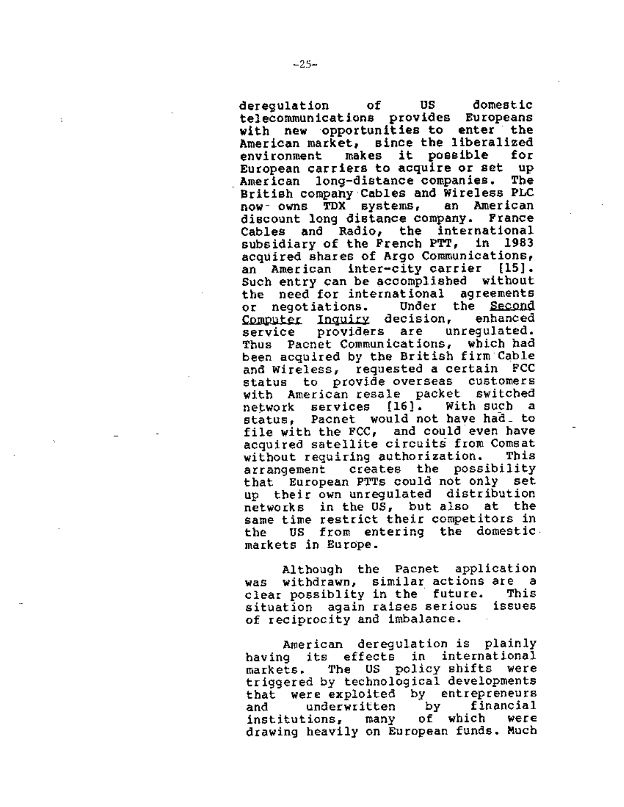deregulation of US domestic<br>telecommunications provides Europeans with new opportunities to enter the American market, since the liberalized<br>environment makes it possible for environment makes it possible for European carriers to acquire or set up American long-distance companies. The British company Cables and Wireless PLC<br>now- owns TDX systems. an American now- owns TDX systems, discount long distance company. France Cables and Radio, the international subsidiary of the French PTT, in 1983 acquired shares of Argo Communications, an American inter-city carrier (15]. Such entry can be accomplished without the need-for-international agreements<br>or negotiations. Under the Second or negotiations. Under the <u>Second</u><br>Computer Inquiry decision. enhanced Computer Inquiry decision, enhanced<br>service providers are unrequlated. service providers are unregulated. Thus Pacnet Communications, which had been acquired by the British firm Cable and Wireless, requested a certain FCC status to provide-overseas customers<br>with American-resale packet switched with American-resale packet switched<br>network services [16], With-such a network services [16]. status, Pacnet would not have had\_ to file with the FCC, and could even have acquired satellite circuits from Comsat<br>without requiring authorization. This without requiring authorization. This<br>arrangement creates the possibility arrangement creates the possibility that European PTTs could not only set up their own unregulated distribution networks in the US, but also at the same time restrict their competitors in the US from entering the domestic markets in Europe.

Although the Pacnet application was withdrawn, similar-actions-are a<br>clear-possiblity-in-the-future, This clear possiblity in the future. situation again raises serious issues of reciprocity and imbalance.

American deregulation is plainly having its effects in international markets. The US policy shifts were triggered by technological developments<br>that were exploited by entrepreneurs<br>and underwritten by financial<br>institutions. many of which were institutions, many of which were drawing heavily on European funds. Much

÷.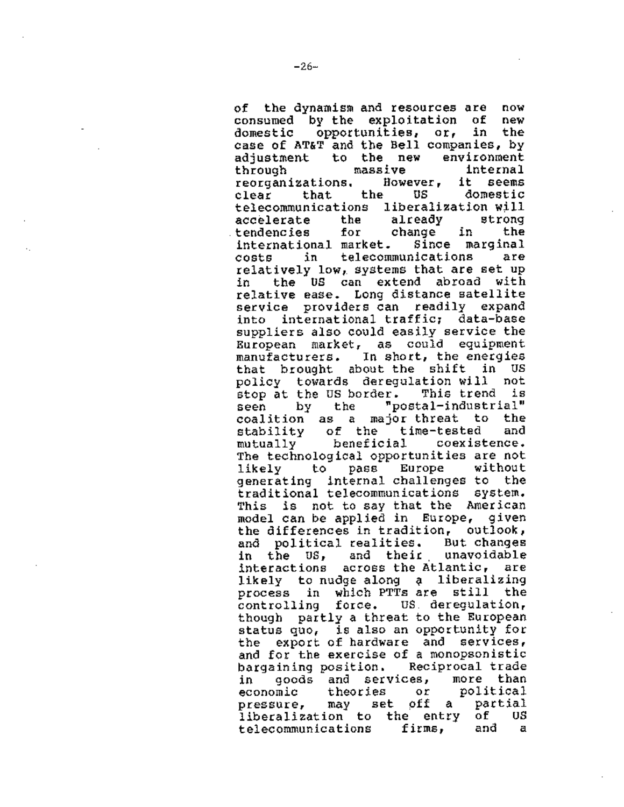of the dynamism and resources are now consumed by the exploitation of new domestic opportunities, or, in the case of AT&T and the Bell companies, by<br>adjustment to the new environment adjustment to the new through massive internal<br>reorganizations. However, it seems reorganizations, Howeve;<br>clear that the US clear that the US domestic telecommunications liberalization.will<br>accelerate the already strong accelerate the already strong<br>tendencies for change in the tendencies international market. Since marginal costs in telecommunications relatively low, systems that are set up in the US can extend abroad with relative ease. Long distance satellite service providers can readily expand into international traffic; data-base suppliers also could easily service the European market, as could equipment manufacturers. In short, the energies that brought about the shift in US policy towards deregulation will not stop at the us border. This trend is seen by the "postal-industrial" coalition as a major-threat to the<br>stability of the time-tested and stability of the time-tested and<br>mutually beneficial coexistence. mutually beneficial The technological opportunities are not likely to pass Europe without generating internal challenges to the traditional telecommunications system. This is not to say that the American model can be applied in Europe, given the differences in tradition, outlook, and political realities. But changes<br>in the US, and their unavoidable in the US, and their interactions across the Atlantic, are likely to nudge along a liberalizing process in which PTTs are still the controlling force. US deregulation, though partly a threat to the European status quo, is also an opportunity for the export of hardware and services, and for the exercise of a monopsonistic bargaining position, Reciprocal trade in goods and services, more than<br>economic theories or political economic theories or political<br>pressure, may set off a partial pressure, may set off a partial<br>liberalization to the entry of US liberalization to the entry of US<br>telecommunications firms, and a telecommunications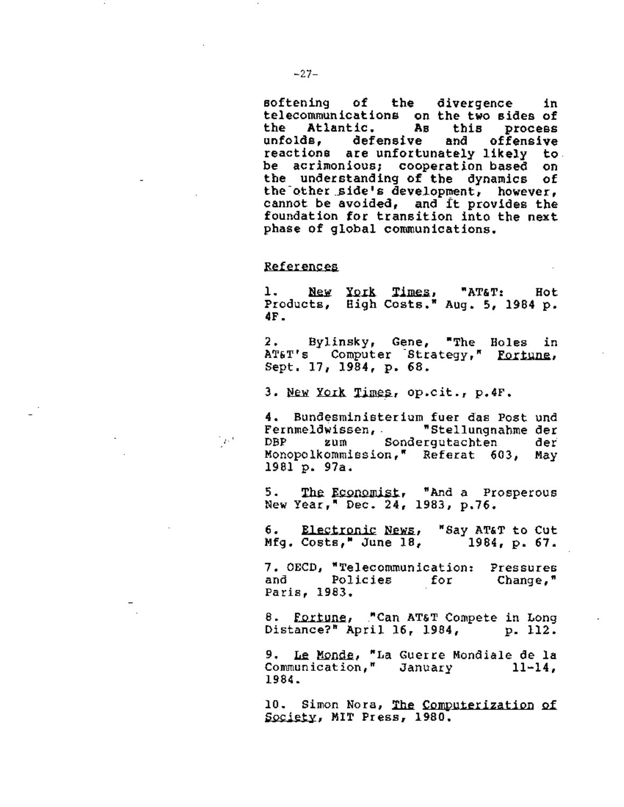softening of the divergence in telecommunications on the two sides of<br>the Atlantic, as this process the Atlantic. As this process unfolds, defensive and offensive reactions are unfortunately likely to be acrimonious; cooperation based on the understanding of the dynamics of the other side's development, however, cannot be avoided, and it provides the foundation for transition into the next phase of global communications.

#### References

 $\mathcal{O}^{(0)}$ 

1. New York Times, "AT&T: Hot<br>Products, High Costs." Aug. 5, 1984 p*.* **4F.** 

2. Bylinsky, Gene, "The Holes in 2. Bylinsky, Gene, The Boles 1<br>AT&T's Computer Strategy," <u>Fortune</u><br>Sept. 17, 1984, p. 68.

3. New York Times, op.cit., p.4F.

4. Bundesministerium fuer das Post und Fernmeldwissen, "Stellungnahme der DBP zum Sondergutachten Monopolkommission," Referat 603, May 1981 p. 97a.

5. The Economist, 5. The Economist, "And a Prosperou<br>New Year," Dec. 24, 1983, p.76.

6 • 6. Electronic News, "Say AT&T to Cut<br>Mfg. Costs," June 18, 1984, p. 67. Electronic News, "Say AT&T to Cut<br>1984, p. 67.

7. OECD, "Telecommunication: Pressures<br>and Policies for Change." and Policies for Change," Paris, 1983.

8. Fortune, "Can AT&T Compete in Long<br>Distance?" April 16, 1984, p. 112.

9. Le Monde, "La Guerre Mondiale de la Communication," January 11-14, 1984.

10. Simon Nora, The Computerization of Society, MIT Press, 1980.